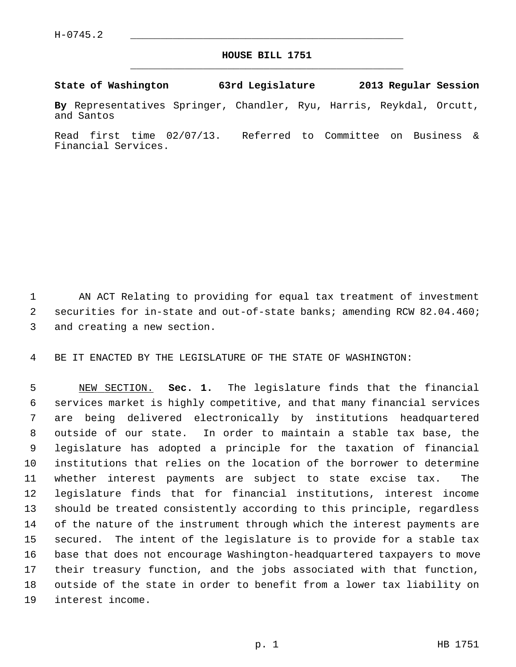## **HOUSE BILL 1751** \_\_\_\_\_\_\_\_\_\_\_\_\_\_\_\_\_\_\_\_\_\_\_\_\_\_\_\_\_\_\_\_\_\_\_\_\_\_\_\_\_\_\_\_\_

**State of Washington 63rd Legislature 2013 Regular Session**

**By** Representatives Springer, Chandler, Ryu, Harris, Reykdal, Orcutt, and Santos

Read first time 02/07/13. Referred to Committee on Business & Financial Services.

 1 AN ACT Relating to providing for equal tax treatment of investment 2 securities for in-state and out-of-state banks; amending RCW 82.04.460; 3 and creating a new section.

4 BE IT ENACTED BY THE LEGISLATURE OF THE STATE OF WASHINGTON:

 5 NEW SECTION. **Sec. 1.** The legislature finds that the financial 6 services market is highly competitive, and that many financial services 7 are being delivered electronically by institutions headquartered 8 outside of our state. In order to maintain a stable tax base, the 9 legislature has adopted a principle for the taxation of financial 10 institutions that relies on the location of the borrower to determine 11 whether interest payments are subject to state excise tax. The 12 legislature finds that for financial institutions, interest income 13 should be treated consistently according to this principle, regardless 14 of the nature of the instrument through which the interest payments are 15 secured. The intent of the legislature is to provide for a stable tax 16 base that does not encourage Washington-headquartered taxpayers to move 17 their treasury function, and the jobs associated with that function, 18 outside of the state in order to benefit from a lower tax liability on 19 interest income.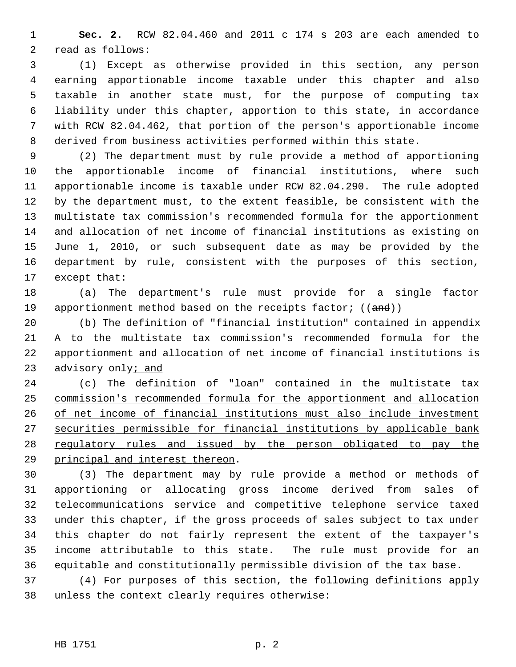1 **Sec. 2.** RCW 82.04.460 and 2011 c 174 s 203 are each amended to 2 read as follows:

 3 (1) Except as otherwise provided in this section, any person 4 earning apportionable income taxable under this chapter and also 5 taxable in another state must, for the purpose of computing tax 6 liability under this chapter, apportion to this state, in accordance 7 with RCW 82.04.462, that portion of the person's apportionable income 8 derived from business activities performed within this state.

 9 (2) The department must by rule provide a method of apportioning 10 the apportionable income of financial institutions, where such 11 apportionable income is taxable under RCW 82.04.290. The rule adopted 12 by the department must, to the extent feasible, be consistent with the 13 multistate tax commission's recommended formula for the apportionment 14 and allocation of net income of financial institutions as existing on 15 June 1, 2010, or such subsequent date as may be provided by the 16 department by rule, consistent with the purposes of this section, 17 except that:

18 (a) The department's rule must provide for a single factor 19 apportionment method based on the receipts factor;  $((and))$ 

20 (b) The definition of "financial institution" contained in appendix 21 A to the multistate tax commission's recommended formula for the 22 apportionment and allocation of net income of financial institutions is 23 advisory only; and

 (c) The definition of "loan" contained in the multistate tax commission's recommended formula for the apportionment and allocation of net income of financial institutions must also include investment securities permissible for financial institutions by applicable bank regulatory rules and issued by the person obligated to pay the principal and interest thereon.

30 (3) The department may by rule provide a method or methods of 31 apportioning or allocating gross income derived from sales of 32 telecommunications service and competitive telephone service taxed 33 under this chapter, if the gross proceeds of sales subject to tax under 34 this chapter do not fairly represent the extent of the taxpayer's 35 income attributable to this state. The rule must provide for an 36 equitable and constitutionally permissible division of the tax base.

37 (4) For purposes of this section, the following definitions apply 38 unless the context clearly requires otherwise: